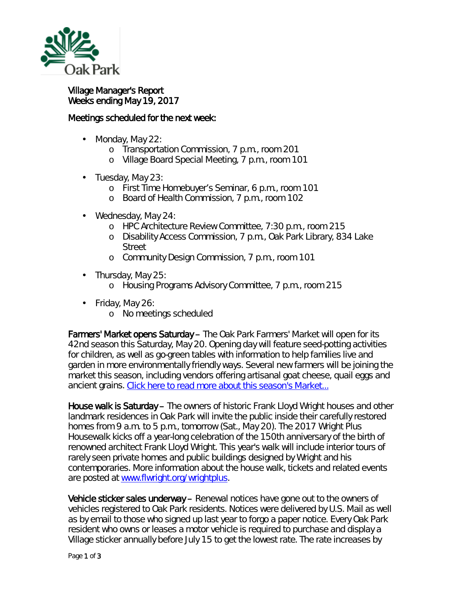

## Village Manager's Report Weeks ending May 19, 2017

## Meetings scheduled for the next week:

- $\mathbf{r}$ Monday, May 22:
	- o Transportation Commission, 7 p.m., room 201
	- o Village Board Special Meeting, 7 p.m., room 101
- ä, Tuesday, May 23:
	- o First Time Homebuyer's Seminar, 6 p.m., room 101
	- o Board of Health Commission, 7 p.m., room 102
- Wednesday, May 24:
	- o HPC Architecture Review Committee, 7:30 p.m., room 215
	- o Disability Access Commission, 7 p.m., Oak Park Library, 834 Lake Street
	- o Community Design Commission, 7 p.m., room 101
- $\cdot$  Thursday, May 25:
	- o Housing Programs Advisory Committee, 7 p.m., room 215
- Friday, May 26:
	- o No meetings scheduled

Farmers' Market opens Saturday – The Oak Park Farmers' Market will open for its 42nd season this Saturday, May 20. Opening day will feature seed-potting activities for children, as well as *go-green* tables with information to help families live and garden in more environmentally friendly ways. Several new farmers will be joining the market this season, including vendors offering artisanal goat cheese, quail eggs and ancient grains. [Click here to read more about this season's Market...](http://r20.rs6.net/tn.jsp?f=0018oGJP_LexQu-vnNYfR0lIlI4e0lY7x_oV59j9uR8ZiVq8cFPoQNxDXY653qz27UrhP5lBrbbjj_0-lLApxURKQhYMo1_oV_tslplxKl-25l7ajeMFg04-wGnnCbbnqde5FF7mc4ubeJDTRVE5oX7t77Kx2zCHz-Oyq5eWqv9faet1zdeyknevThpMwkSVT0YQPlG4gRvHW3ojNfPyBXso_bK7wHL_aKwkc-qC0ybZiL_i1pmWTa2JTE9c-QShprtggABm-Dytjqpm5pmWagcYK5fT1q81d2-E3A8gR1QB4lsQ0VrK8juMrhrk8Ow0iEnbaMm1heIQN0=&c=9WPGOrOYy6GFGqTTHAMGSZ7lEP_-aEu6eksIpENxL-EfFIydvk2skw==&ch=i1hRPEHs_ENJdDh8RD3RGKDFCpDwVJUFXT3jFSft_a1i2huGk-xPJQ==)

House walk is Saturday – The owners of historic Frank Lloyd Wright houses and other landmark residences in Oak Park will invite the public inside their carefully restored homes from 9 a.m. to 5 p.m., tomorrow (Sat., May 20). The 2017 *Wright Plus Housewalk* kicks off a year-long celebration of the 150th anniversary of the birth of renowned architect Frank Lloyd Wright. This year's walk will include interior tours of rarely seen private homes and public buildings designed by Wright and his contemporaries. More information about the house walk, tickets and related events are posted at [www.flwright.org/wrightplus.](http://r20.rs6.net/tn.jsp?f=0018oGJP_LexQu-vnNYfR0lIlI4e0lY7x_oV59j9uR8ZiVq8cFPoQNxDfJTtvWU07Qe5fC3eMjR-cCZ0h4YSBqnG3SanEAx0Gc42gNJe6hgCDW8pPF_s_anVchSIGO85clTGaUFJJa0EX3SMizl9YtrV_exRTqlkAsqDJrLkONz0PXhs0U7RzGmc6z17nD4Vz9E74HwrxBHqWwXcArLHSXGndeBS7DLo3WggtP-QVocf9F42hZKaekhDmH6QQuHfR6yOXMS_V-wV1aDQ7Z8qh5FQL4Aub2aGn3yI55AwUHNmw4=&c=9WPGOrOYy6GFGqTTHAMGSZ7lEP_-aEu6eksIpENxL-EfFIydvk2skw==&ch=i1hRPEHs_ENJdDh8RD3RGKDFCpDwVJUFXT3jFSft_a1i2huGk-xPJQ==)

Vehicle sticker sales underway – Renewal notices have gone out to the owners of vehicles registered to Oak Park residents. Notices were delivered by U.S. Mail as well as by email to those who signed up last year to forgo a paper notice. Every Oak Park resident who owns or leases a motor vehicle is required to purchase and display a Village sticker annually before July 15 to get the lowest rate. The rate increases by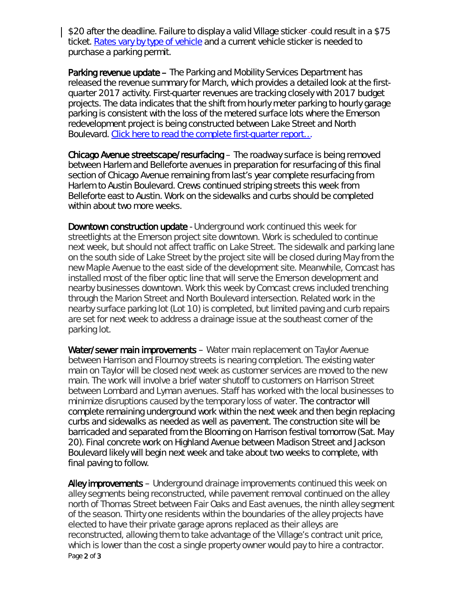\$20 after the deadline. Failure to display a valid Village sticker could result in a \$75 ticket. [Rates vary by type of vehicle](http://www.oak-park.us/sites/default/files/parking/2017-vehicle-sticker-rates.pdf) and a current vehicle sticker is needed to purchase a parking permit.

Parking revenue update – The Parking and Mobility Services Department has released the revenue summary for March, which provides a detailed look at the firstquarter 2017 activity. First-quarter revenues are tracking closely with 2017 budget projects. The data indicates that the shift from hourly meter parking to hourly garage parking is consistent with the loss of the metered surface lots where the Emerson redevelopment project is being constructed between Lake Street and North Boulevard. [Click here to read the complete first-quarter report…](http://www.oak-park.us/sites/default/files/456678891/2017-05-05-parking_revenue_summary_-_march_2017.pdf)

Chicago Avenue streetscape/resurfacing – The roadway surface is being removed between Harlem and Belleforte avenues in preparation for resurfacing of this final section of Chicago Avenue remaining from last's year complete resurfacing from Harlem to Austin Boulevard. Crews continued striping streets this week from Belleforte east to Austin. Work on the sidewalks and curbs should be completed within about two more weeks.

**Downtown construction update** - Underground work continued this week for streetlights at the Emerson project site downtown. Work is scheduled to continue next week, but should not affect traffic on Lake Street. The sidewalk and parking lane on the south side of Lake Street by the project site will be closed during May from the new Maple Avenue to the east side of the development site. Meanwhile, Comcast has installed most of the fiber optic line that will serve the Emerson development and nearby businesses downtown. Work this week by Comcast crews included trenching through the Marion Street and North Boulevard intersection. Related work in the nearby surface parking lot (Lot 10) is completed, but limited paving and curb repairs are set for next week to address a drainage issue at the southeast corner of the parking lot.

Water/sewer main improvements - Water main replacement on Taylor Avenue between Harrison and Flournoy streets is nearing completion. The existing water main on Taylor will be closed next week as customer services are moved to the new main. The work will involve a brief water shutoff to customers on Harrison Street between Lombard and Lyman avenues. Staff has worked with the local businesses to minimize disruptions caused by the temporary loss of water. The contractor will complete remaining underground work within the next week and then begin replacing curbs and sidewalks as needed as well as pavement. The construction site will be barricaded and separated from the Blooming on Harrison festival tomorrow (Sat. May 20). Final concrete work on Highland Avenue between Madison Street and Jackson Boulevard likely will begin next week and take about two weeks to complete, with final paving to follow.

Page 2 of 3 Alley improvements – Underground drainage improvements continued this week on alley segments being reconstructed, while pavement removal continued on the alley north of Thomas Street between Fair Oaks and East avenues, the ninth alley segment of the season. Thirty one residents within the boundaries of the alley projects have elected to have their private garage aprons replaced as their alleys are reconstructed, allowing them to take advantage of the Village's contract unit price, which is lower than the cost a single property owner would pay to hire a contractor.